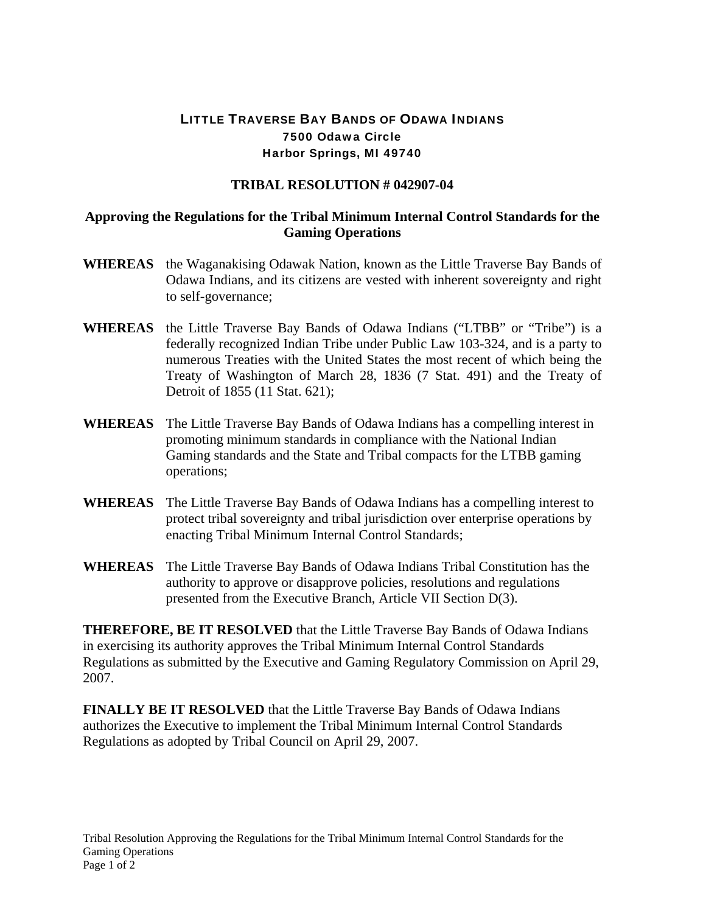## LITTLE TRAVERSE BAY BANDS OF ODAWA INDIANS 7500 Odawa Circle Harbor Springs, MI 49740

## **TRIBAL RESOLUTION # 042907-04**

## **Approving the Regulations for the Tribal Minimum Internal Control Standards for the Gaming Operations**

- **WHEREAS** the Waganakising Odawak Nation, known as the Little Traverse Bay Bands of Odawa Indians, and its citizens are vested with inherent sovereignty and right to self-governance;
- **WHEREAS** the Little Traverse Bay Bands of Odawa Indians ("LTBB" or "Tribe") is a federally recognized Indian Tribe under Public Law 103-324, and is a party to numerous Treaties with the United States the most recent of which being the Treaty of Washington of March 28, 1836 (7 Stat. 491) and the Treaty of Detroit of 1855 (11 Stat. 621);
- **WHEREAS** The Little Traverse Bay Bands of Odawa Indians has a compelling interest in promoting minimum standards in compliance with the National Indian Gaming standards and the State and Tribal compacts for the LTBB gaming operations;
- **WHEREAS** The Little Traverse Bay Bands of Odawa Indians has a compelling interest to protect tribal sovereignty and tribal jurisdiction over enterprise operations by enacting Tribal Minimum Internal Control Standards;
- **WHEREAS** The Little Traverse Bay Bands of Odawa Indians Tribal Constitution has the authority to approve or disapprove policies, resolutions and regulations presented from the Executive Branch, Article VII Section D(3).

**THEREFORE, BE IT RESOLVED** that the Little Traverse Bay Bands of Odawa Indians in exercising its authority approves the Tribal Minimum Internal Control Standards Regulations as submitted by the Executive and Gaming Regulatory Commission on April 29, 2007.

**FINALLY BE IT RESOLVED** that the Little Traverse Bay Bands of Odawa Indians authorizes the Executive to implement the Tribal Minimum Internal Control Standards Regulations as adopted by Tribal Council on April 29, 2007.